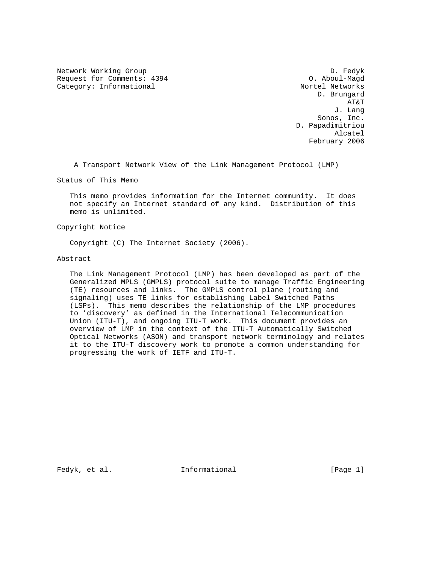Network Working Group Design and the United States of the D. Fedyk Request for Comments: 4394 O. Aboul-Magd<br>
Category: Informational Category: O. Aboul-Magd Category: Informational

 D. Brungard AT&T J. Lang Sonos, Inc. D. Papadimitriou Alcatel February 2006

A Transport Network View of the Link Management Protocol (LMP)

Status of This Memo

 This memo provides information for the Internet community. It does not specify an Internet standard of any kind. Distribution of this memo is unlimited.

Copyright Notice

Copyright (C) The Internet Society (2006).

Abstract

 The Link Management Protocol (LMP) has been developed as part of the Generalized MPLS (GMPLS) protocol suite to manage Traffic Engineering (TE) resources and links. The GMPLS control plane (routing and signaling) uses TE links for establishing Label Switched Paths (LSPs). This memo describes the relationship of the LMP procedures to 'discovery' as defined in the International Telecommunication Union (ITU-T), and ongoing ITU-T work. This document provides an overview of LMP in the context of the ITU-T Automatically Switched Optical Networks (ASON) and transport network terminology and relates it to the ITU-T discovery work to promote a common understanding for progressing the work of IETF and ITU-T.

Fedyk, et al. Informational [Page 1]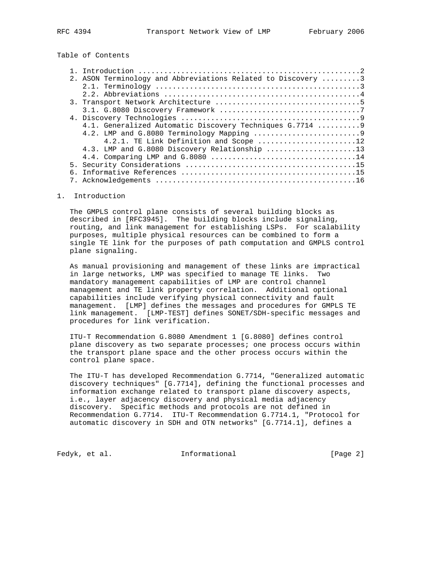Table of Contents

| 2. ASON Terminology and Abbreviations Related to Discovery 3 |  |
|--------------------------------------------------------------|--|
|                                                              |  |
|                                                              |  |
|                                                              |  |
|                                                              |  |
|                                                              |  |
|                                                              |  |
| 4.1. Generalized Automatic Discovery Techniques G.7714  9    |  |
|                                                              |  |
| 4.2.1. TE Link Definition and Scope 12                       |  |
| 4.3. LMP and G.8080 Discovery Relationship 13                |  |
|                                                              |  |
|                                                              |  |
|                                                              |  |
|                                                              |  |

#### 1. Introduction

 The GMPLS control plane consists of several building blocks as described in [RFC3945]. The building blocks include signaling, routing, and link management for establishing LSPs. For scalability purposes, multiple physical resources can be combined to form a single TE link for the purposes of path computation and GMPLS control plane signaling.

 As manual provisioning and management of these links are impractical in large networks, LMP was specified to manage TE links. Two mandatory management capabilities of LMP are control channel management and TE link property correlation. Additional optional capabilities include verifying physical connectivity and fault management. [LMP] defines the messages and procedures for GMPLS TE link management. [LMP-TEST] defines SONET/SDH-specific messages and procedures for link verification.

 ITU-T Recommendation G.8080 Amendment 1 [G.8080] defines control plane discovery as two separate processes; one process occurs within the transport plane space and the other process occurs within the control plane space.

 The ITU-T has developed Recommendation G.7714, "Generalized automatic discovery techniques" [G.7714], defining the functional processes and information exchange related to transport plane discovery aspects, i.e., layer adjacency discovery and physical media adjacency discovery. Specific methods and protocols are not defined in Recommendation G.7714. ITU-T Recommendation G.7714.1, "Protocol for automatic discovery in SDH and OTN networks" [G.7714.1], defines a

Fedyk, et al. Informational [Page 2]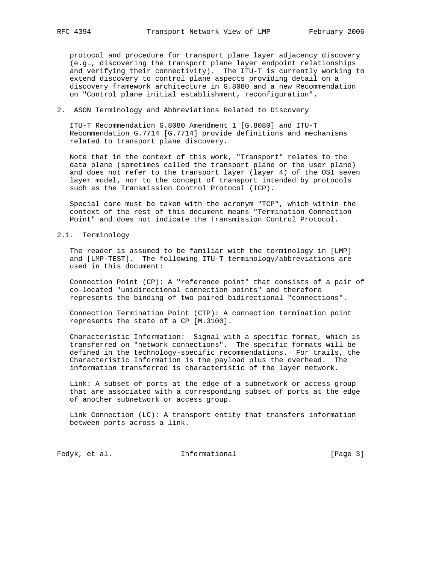protocol and procedure for transport plane layer adjacency discovery (e.g., discovering the transport plane layer endpoint relationships and verifying their connectivity). The ITU-T is currently working to extend discovery to control plane aspects providing detail on a discovery framework architecture in G.8080 and a new Recommendation on "Control plane initial establishment, reconfiguration".

## 2. ASON Terminology and Abbreviations Related to Discovery

 ITU-T Recommendation G.8080 Amendment 1 [G.8080] and ITU-T Recommendation G.7714 [G.7714] provide definitions and mechanisms related to transport plane discovery.

 Note that in the context of this work, "Transport" relates to the data plane (sometimes called the transport plane or the user plane) and does not refer to the transport layer (layer 4) of the OSI seven layer model, nor to the concept of transport intended by protocols such as the Transmission Control Protocol (TCP).

 Special care must be taken with the acronym "TCP", which within the context of the rest of this document means "Termination Connection Point" and does not indicate the Transmission Control Protocol.

## 2.1. Terminology

 The reader is assumed to be familiar with the terminology in [LMP] and [LMP-TEST]. The following ITU-T terminology/abbreviations are used in this document:

 Connection Point (CP): A "reference point" that consists of a pair of co-located "unidirectional connection points" and therefore represents the binding of two paired bidirectional "connections".

 Connection Termination Point (CTP): A connection termination point represents the state of a CP [M.3100].

 Characteristic Information: Signal with a specific format, which is transferred on "network connections". The specific formats will be defined in the technology-specific recommendations. For trails, the Characteristic Information is the payload plus the overhead. The information transferred is characteristic of the layer network.

 Link: A subset of ports at the edge of a subnetwork or access group that are associated with a corresponding subset of ports at the edge of another subnetwork or access group.

 Link Connection (LC): A transport entity that transfers information between ports across a link.

Fedyk, et al. 100 Informational 100 [Page 3]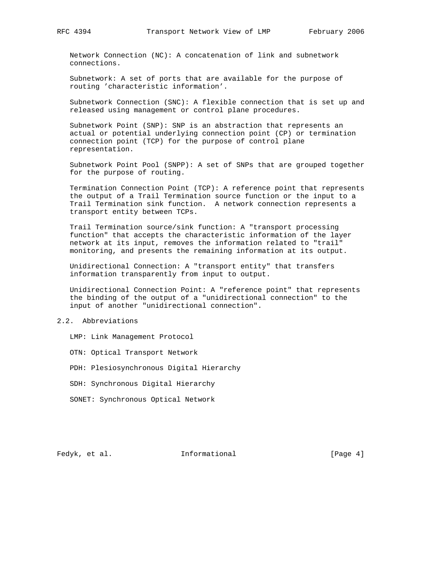Network Connection (NC): A concatenation of link and subnetwork connections.

 Subnetwork: A set of ports that are available for the purpose of routing 'characteristic information'.

 Subnetwork Connection (SNC): A flexible connection that is set up and released using management or control plane procedures.

 Subnetwork Point (SNP): SNP is an abstraction that represents an actual or potential underlying connection point (CP) or termination connection point (TCP) for the purpose of control plane representation.

 Subnetwork Point Pool (SNPP): A set of SNPs that are grouped together for the purpose of routing.

 Termination Connection Point (TCP): A reference point that represents the output of a Trail Termination source function or the input to a Trail Termination sink function. A network connection represents a transport entity between TCPs.

 Trail Termination source/sink function: A "transport processing function" that accepts the characteristic information of the layer network at its input, removes the information related to "trail" monitoring, and presents the remaining information at its output.

 Unidirectional Connection: A "transport entity" that transfers information transparently from input to output.

 Unidirectional Connection Point: A "reference point" that represents the binding of the output of a "unidirectional connection" to the input of another "unidirectional connection".

# 2.2. Abbreviations

LMP: Link Management Protocol

OTN: Optical Transport Network

PDH: Plesiosynchronous Digital Hierarchy

SDH: Synchronous Digital Hierarchy

SONET: Synchronous Optical Network

Fedyk, et al. 10 Informational 1998 [Page 4]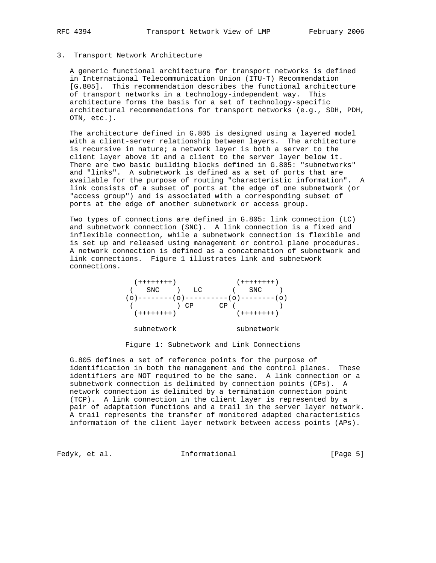## 3. Transport Network Architecture

 A generic functional architecture for transport networks is defined in International Telecommunication Union (ITU-T) Recommendation [G.805]. This recommendation describes the functional architecture of transport networks in a technology-independent way. This architecture forms the basis for a set of technology-specific architectural recommendations for transport networks (e.g., SDH, PDH, OTN, etc.).

 The architecture defined in G.805 is designed using a layered model with a client-server relationship between layers. The architecture is recursive in nature; a network layer is both a server to the client layer above it and a client to the server layer below it. There are two basic building blocks defined in G.805: "subnetworks" and "links". A subnetwork is defined as a set of ports that are available for the purpose of routing "characteristic information". A link consists of a subset of ports at the edge of one subnetwork (or "access group") and is associated with a corresponding subset of ports at the edge of another subnetwork or access group.

 Two types of connections are defined in G.805: link connection (LC) and subnetwork connection (SNC). A link connection is a fixed and inflexible connection, while a subnetwork connection is flexible and is set up and released using management or control plane procedures. A network connection is defined as a concatenation of subnetwork and link connections. Figure 1 illustrates link and subnetwork connections.

 (++++++++) (++++++++) ( SNC ) LC ( SNC ) (o)--------(o)----------(o)--------(o)  $($  ) CP CP  $($  ) (++++++++) (++++++++)

subnetwork subnetwork

Figure 1: Subnetwork and Link Connections

 G.805 defines a set of reference points for the purpose of identification in both the management and the control planes. These identifiers are NOT required to be the same. A link connection or a subnetwork connection is delimited by connection points (CPs). A network connection is delimited by a termination connection point (TCP). A link connection in the client layer is represented by a pair of adaptation functions and a trail in the server layer network. A trail represents the transfer of monitored adapted characteristics information of the client layer network between access points (APs).

Fedyk, et al. 100 Informational 100 [Page 5]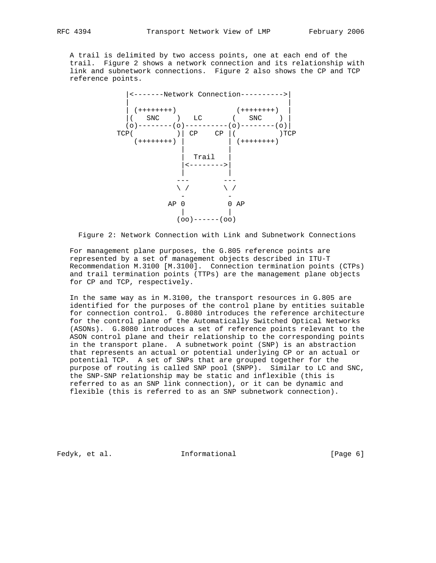A trail is delimited by two access points, one at each end of the trail. Figure 2 shows a network connection and its relationship with link and subnetwork connections. Figure 2 also shows the CP and TCP reference points.



Figure 2: Network Connection with Link and Subnetwork Connections

 For management plane purposes, the G.805 reference points are represented by a set of management objects described in ITU-T Recommendation M.3100 [M.3100]. Connection termination points (CTPs) and trail termination points (TTPs) are the management plane objects for CP and TCP, respectively.

 In the same way as in M.3100, the transport resources in G.805 are identified for the purposes of the control plane by entities suitable for connection control. G.8080 introduces the reference architecture for the control plane of the Automatically Switched Optical Networks (ASONs). G.8080 introduces a set of reference points relevant to the ASON control plane and their relationship to the corresponding points in the transport plane. A subnetwork point (SNP) is an abstraction that represents an actual or potential underlying CP or an actual or potential TCP. A set of SNPs that are grouped together for the purpose of routing is called SNP pool (SNPP). Similar to LC and SNC, the SNP-SNP relationship may be static and inflexible (this is referred to as an SNP link connection), or it can be dynamic and flexible (this is referred to as an SNP subnetwork connection).

Fedyk, et al. 10 Informational 100 [Page 6]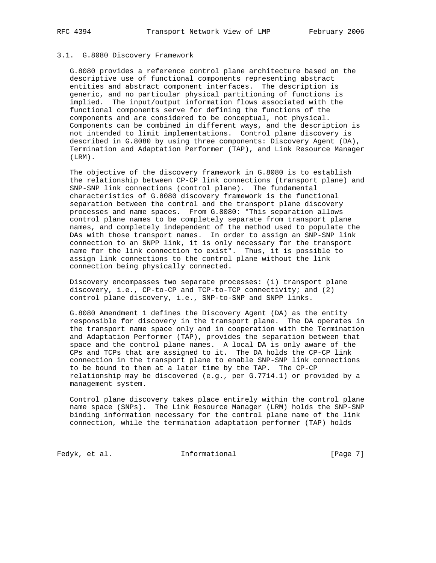#### 3.1. G.8080 Discovery Framework

 G.8080 provides a reference control plane architecture based on the descriptive use of functional components representing abstract entities and abstract component interfaces. The description is generic, and no particular physical partitioning of functions is implied. The input/output information flows associated with the functional components serve for defining the functions of the components and are considered to be conceptual, not physical. Components can be combined in different ways, and the description is not intended to limit implementations. Control plane discovery is described in G.8080 by using three components: Discovery Agent (DA), Termination and Adaptation Performer (TAP), and Link Resource Manager (LRM).

 The objective of the discovery framework in G.8080 is to establish the relationship between CP-CP link connections (transport plane) and SNP-SNP link connections (control plane). The fundamental characteristics of G.8080 discovery framework is the functional separation between the control and the transport plane discovery processes and name spaces. From G.8080: "This separation allows control plane names to be completely separate from transport plane names, and completely independent of the method used to populate the DAs with those transport names. In order to assign an SNP-SNP link connection to an SNPP link, it is only necessary for the transport name for the link connection to exist". Thus, it is possible to assign link connections to the control plane without the link connection being physically connected.

 Discovery encompasses two separate processes: (1) transport plane discovery, i.e., CP-to-CP and TCP-to-TCP connectivity; and (2) control plane discovery, i.e., SNP-to-SNP and SNPP links.

 G.8080 Amendment 1 defines the Discovery Agent (DA) as the entity responsible for discovery in the transport plane. The DA operates in the transport name space only and in cooperation with the Termination and Adaptation Performer (TAP), provides the separation between that space and the control plane names. A local DA is only aware of the CPs and TCPs that are assigned to it. The DA holds the CP-CP link connection in the transport plane to enable SNP-SNP link connections to be bound to them at a later time by the TAP. The CP-CP relationship may be discovered (e.g., per G.7714.1) or provided by a management system.

 Control plane discovery takes place entirely within the control plane name space (SNPs). The Link Resource Manager (LRM) holds the SNP-SNP binding information necessary for the control plane name of the link connection, while the termination adaptation performer (TAP) holds

Fedyk, et al. 1nformational 1999 [Page 7]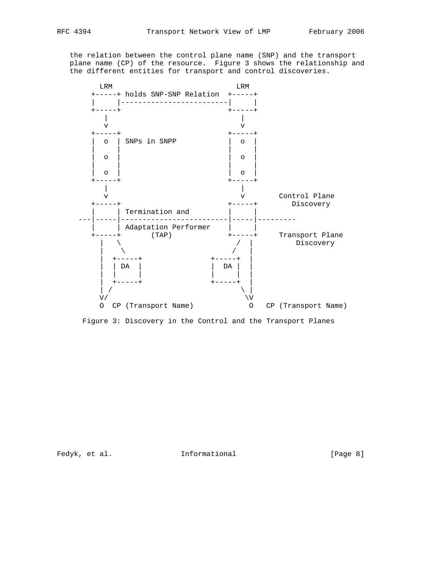the relation between the control plane name (SNP) and the transport plane name (CP) of the resource. Figure 3 shows the relationship and the different entities for transport and control discoveries.



Figure 3: Discovery in the Control and the Transport Planes

Fedyk, et al. 10. Informational 1. [Page 8]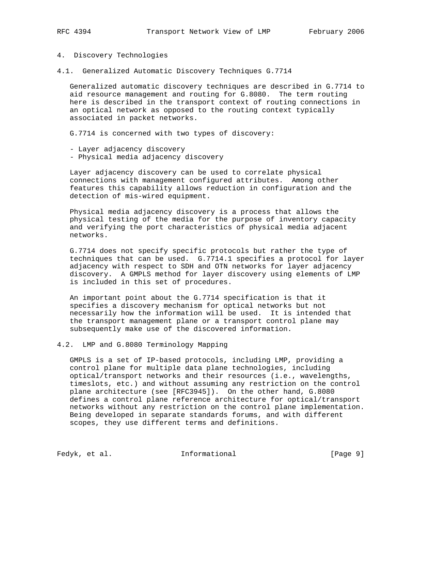## 4. Discovery Technologies

4.1. Generalized Automatic Discovery Techniques G.7714

 Generalized automatic discovery techniques are described in G.7714 to aid resource management and routing for G.8080. The term routing here is described in the transport context of routing connections in an optical network as opposed to the routing context typically associated in packet networks.

G.7714 is concerned with two types of discovery:

- Layer adjacency discovery
- Physical media adjacency discovery

 Layer adjacency discovery can be used to correlate physical connections with management configured attributes. Among other features this capability allows reduction in configuration and the detection of mis-wired equipment.

 Physical media adjacency discovery is a process that allows the physical testing of the media for the purpose of inventory capacity and verifying the port characteristics of physical media adjacent networks.

 G.7714 does not specify specific protocols but rather the type of techniques that can be used. G.7714.1 specifies a protocol for layer adjacency with respect to SDH and OTN networks for layer adjacency discovery. A GMPLS method for layer discovery using elements of LMP is included in this set of procedures.

 An important point about the G.7714 specification is that it specifies a discovery mechanism for optical networks but not necessarily how the information will be used. It is intended that the transport management plane or a transport control plane may subsequently make use of the discovered information.

## 4.2. LMP and G.8080 Terminology Mapping

 GMPLS is a set of IP-based protocols, including LMP, providing a control plane for multiple data plane technologies, including optical/transport networks and their resources (i.e., wavelengths, timeslots, etc.) and without assuming any restriction on the control plane architecture (see [RFC3945]). On the other hand, G.8080 defines a control plane reference architecture for optical/transport networks without any restriction on the control plane implementation. Being developed in separate standards forums, and with different scopes, they use different terms and definitions.

Fedyk, et al. 10 Informational 1999 [Page 9]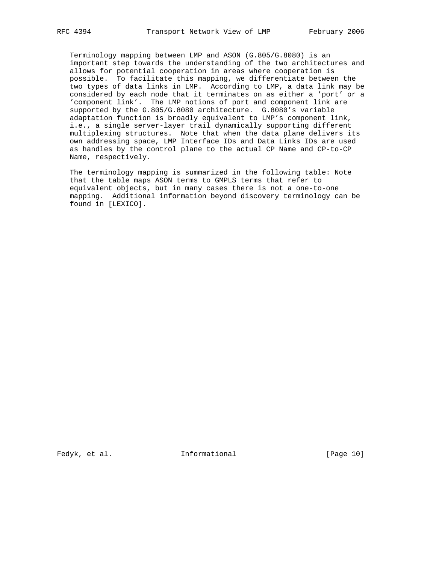Terminology mapping between LMP and ASON (G.805/G.8080) is an important step towards the understanding of the two architectures and allows for potential cooperation in areas where cooperation is possible. To facilitate this mapping, we differentiate between the two types of data links in LMP. According to LMP, a data link may be considered by each node that it terminates on as either a 'port' or a 'component link'. The LMP notions of port and component link are supported by the G.805/G.8080 architecture. G.8080's variable adaptation function is broadly equivalent to LMP's component link, i.e., a single server-layer trail dynamically supporting different multiplexing structures. Note that when the data plane delivers its own addressing space, LMP Interface\_IDs and Data Links IDs are used as handles by the control plane to the actual CP Name and CP-to-CP Name, respectively.

 The terminology mapping is summarized in the following table: Note that the table maps ASON terms to GMPLS terms that refer to equivalent objects, but in many cases there is not a one-to-one mapping. Additional information beyond discovery terminology can be found in [LEXICO].

Fedyk, et al. 10 Informational 1999 [Page 10]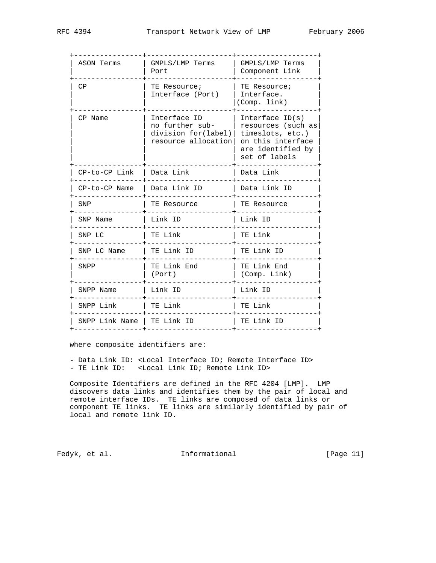| ASON Terms                  | GMPLS/LMP Terms<br>Port                                                         | GMPLS/LMP Terms<br>Component Link                                                                                      |
|-----------------------------|---------------------------------------------------------------------------------|------------------------------------------------------------------------------------------------------------------------|
| CP                          | TE Resource;<br>Interface (Port)                                                | TE Resource;<br>Interface.<br>(Comp. link)                                                                             |
| CP Name                     | Interface ID<br>no further sub-<br>division $for(label)$<br>resource allocation | Interface $ID(s)$<br>resources (such as<br>timeslots, etc.)<br>on this interface<br>are identified by<br>set of labels |
| $CP-to-CP$ Link   Data Link |                                                                                 | Data Link                                                                                                              |
| $CP-to-CP$ Name             | Data Link ID                                                                    | Data Link ID                                                                                                           |
| SNP                         | TE Resource                                                                     | TE Resource                                                                                                            |
| SNP Name                    | Link ID                                                                         | Link ID                                                                                                                |
| SNP LC                      | TE Link                                                                         | TE Link                                                                                                                |
| SNP LC Name                 | TE Link ID                                                                      | TE Link ID                                                                                                             |
| SNPP                        | TE Link End<br>(Port)                                                           | TE Link End<br>(Comp. Link)                                                                                            |
| SNPP Name                   | Link ID                                                                         | Link ID                                                                                                                |
| SNPP Link                   | TE Link                                                                         | TE Link                                                                                                                |
| SNPP Link Name   TE Link ID |                                                                                 | TE Link ID                                                                                                             |
|                             |                                                                                 |                                                                                                                        |

where composite identifiers are:

 - Data Link ID: <Local Interface ID; Remote Interface ID> - TE Link ID: <Local Link ID; Remote Link ID>

 Composite Identifiers are defined in the RFC 4204 [LMP]. LMP discovers data links and identifies them by the pair of local and remote interface IDs. TE links are composed of data links or component TE links. TE links are similarly identified by pair of local and remote link ID.

Fedyk, et al. 10. Informational 1. [Page 11]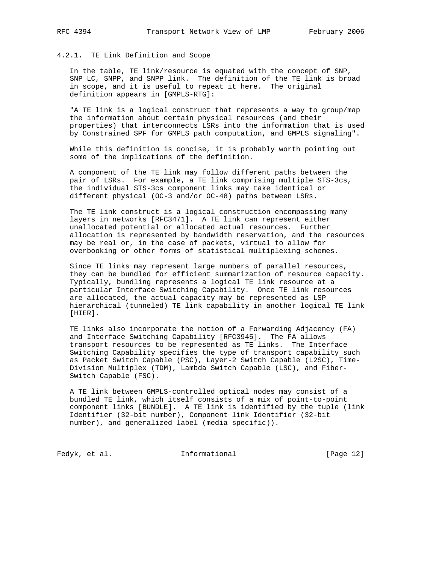# 4.2.1. TE Link Definition and Scope

 In the table, TE link/resource is equated with the concept of SNP, SNP LC, SNPP, and SNPP link. The definition of the TE link is broad in scope, and it is useful to repeat it here. The original definition appears in [GMPLS-RTG]:

 "A TE link is a logical construct that represents a way to group/map the information about certain physical resources (and their properties) that interconnects LSRs into the information that is used by Constrained SPF for GMPLS path computation, and GMPLS signaling".

 While this definition is concise, it is probably worth pointing out some of the implications of the definition.

 A component of the TE link may follow different paths between the pair of LSRs. For example, a TE link comprising multiple STS-3cs, the individual STS-3cs component links may take identical or different physical (OC-3 and/or OC-48) paths between LSRs.

 The TE link construct is a logical construction encompassing many layers in networks [RFC3471]. A TE link can represent either unallocated potential or allocated actual resources. Further allocation is represented by bandwidth reservation, and the resources may be real or, in the case of packets, virtual to allow for overbooking or other forms of statistical multiplexing schemes.

 Since TE links may represent large numbers of parallel resources, they can be bundled for efficient summarization of resource capacity. Typically, bundling represents a logical TE link resource at a particular Interface Switching Capability. Once TE link resources are allocated, the actual capacity may be represented as LSP hierarchical (tunneled) TE link capability in another logical TE link [HIER].

 TE links also incorporate the notion of a Forwarding Adjacency (FA) and Interface Switching Capability [RFC3945]. The FA allows transport resources to be represented as TE links. The Interface Switching Capability specifies the type of transport capability such as Packet Switch Capable (PSC), Layer-2 Switch Capable (L2SC), Time- Division Multiplex (TDM), Lambda Switch Capable (LSC), and Fiber- Switch Capable (FSC).

 A TE link between GMPLS-controlled optical nodes may consist of a bundled TE link, which itself consists of a mix of point-to-point component links [BUNDLE]. A TE link is identified by the tuple (link Identifier (32-bit number), Component link Identifier (32-bit number), and generalized label (media specific)).

Fedyk, et al. 10. Informational [Page 12]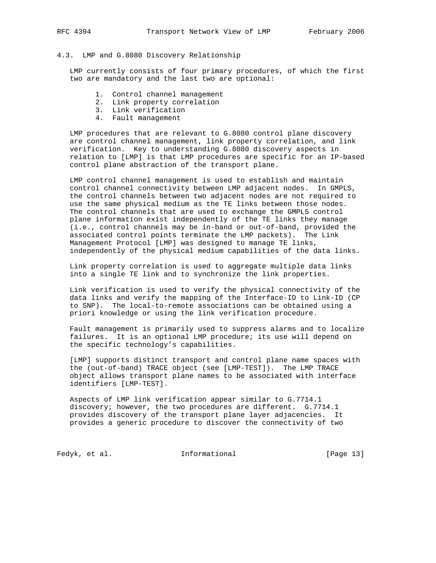# 4.3. LMP and G.8080 Discovery Relationship

 LMP currently consists of four primary procedures, of which the first two are mandatory and the last two are optional:

- 1. Control channel management
- 2. Link property correlation
- 3. Link verification
- 4. Fault management

 LMP procedures that are relevant to G.8080 control plane discovery are control channel management, link property correlation, and link verification. Key to understanding G.8080 discovery aspects in relation to [LMP] is that LMP procedures are specific for an IP-based control plane abstraction of the transport plane.

 LMP control channel management is used to establish and maintain control channel connectivity between LMP adjacent nodes. In GMPLS, the control channels between two adjacent nodes are not required to use the same physical medium as the TE links between those nodes. The control channels that are used to exchange the GMPLS control plane information exist independently of the TE links they manage (i.e., control channels may be in-band or out-of-band, provided the associated control points terminate the LMP packets). The Link Management Protocol [LMP] was designed to manage TE links, independently of the physical medium capabilities of the data links.

 Link property correlation is used to aggregate multiple data links into a single TE link and to synchronize the link properties.

 Link verification is used to verify the physical connectivity of the data links and verify the mapping of the Interface-ID to Link-ID (CP to SNP). The local-to-remote associations can be obtained using a priori knowledge or using the link verification procedure.

 Fault management is primarily used to suppress alarms and to localize failures. It is an optional LMP procedure; its use will depend on the specific technology's capabilities.

 [LMP] supports distinct transport and control plane name spaces with the (out-of-band) TRACE object (see [LMP-TEST]). The LMP TRACE object allows transport plane names to be associated with interface identifiers [LMP-TEST].

 Aspects of LMP link verification appear similar to G.7714.1 discovery; however, the two procedures are different. G.7714.1 provides discovery of the transport plane layer adjacencies. It provides a generic procedure to discover the connectivity of two

Fedyk, et al. 10. Informational [Page 13]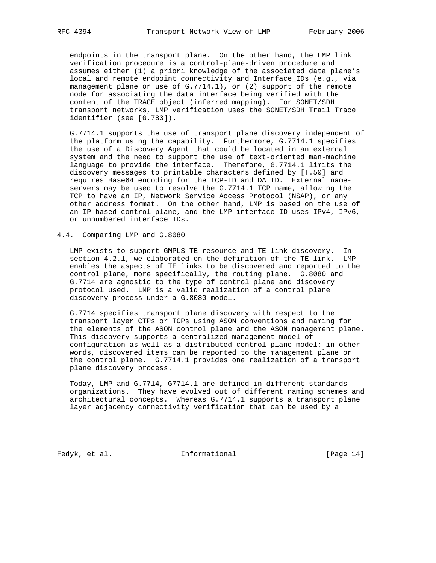endpoints in the transport plane. On the other hand, the LMP link verification procedure is a control-plane-driven procedure and assumes either (1) a priori knowledge of the associated data plane's local and remote endpoint connectivity and Interface\_IDs (e.g., via management plane or use of G.7714.1), or (2) support of the remote node for associating the data interface being verified with the content of the TRACE object (inferred mapping). For SONET/SDH transport networks, LMP verification uses the SONET/SDH Trail Trace identifier (see [G.783]).

 G.7714.1 supports the use of transport plane discovery independent of the platform using the capability. Furthermore, G.7714.1 specifies the use of a Discovery Agent that could be located in an external system and the need to support the use of text-oriented man-machine language to provide the interface. Therefore, G.7714.1 limits the discovery messages to printable characters defined by [T.50] and requires Base64 encoding for the TCP-ID and DA ID. External name servers may be used to resolve the G.7714.1 TCP name, allowing the TCP to have an IP, Network Service Access Protocol (NSAP), or any other address format. On the other hand, LMP is based on the use of an IP-based control plane, and the LMP interface ID uses IPv4, IPv6, or unnumbered interface IDs.

4.4. Comparing LMP and G.8080

 LMP exists to support GMPLS TE resource and TE link discovery. In section 4.2.1, we elaborated on the definition of the TE link. LMP enables the aspects of TE links to be discovered and reported to the control plane, more specifically, the routing plane. G.8080 and G.7714 are agnostic to the type of control plane and discovery protocol used. LMP is a valid realization of a control plane discovery process under a G.8080 model.

 G.7714 specifies transport plane discovery with respect to the transport layer CTPs or TCPs using ASON conventions and naming for the elements of the ASON control plane and the ASON management plane. This discovery supports a centralized management model of configuration as well as a distributed control plane model; in other words, discovered items can be reported to the management plane or the control plane. G.7714.1 provides one realization of a transport plane discovery process.

 Today, LMP and G.7714, G7714.1 are defined in different standards organizations. They have evolved out of different naming schemes and architectural concepts. Whereas G.7714.1 supports a transport plane layer adjacency connectivity verification that can be used by a

Fedyk, et al. 10. Informational 1. [Page 14]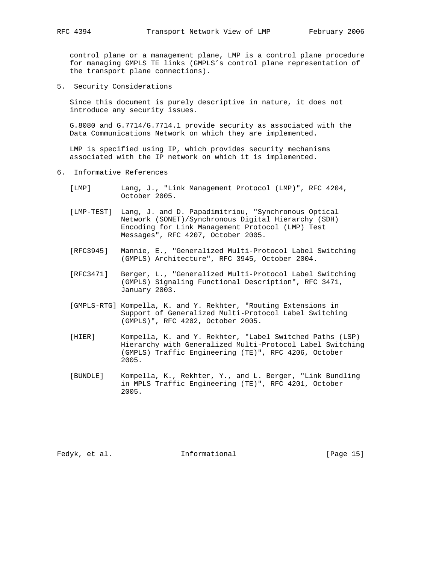control plane or a management plane, LMP is a control plane procedure for managing GMPLS TE links (GMPLS's control plane representation of the transport plane connections).

5. Security Considerations

 Since this document is purely descriptive in nature, it does not introduce any security issues.

 G.8080 and G.7714/G.7714.1 provide security as associated with the Data Communications Network on which they are implemented.

 LMP is specified using IP, which provides security mechanisms associated with the IP network on which it is implemented.

- 6. Informative References
	- [LMP] Lang, J., "Link Management Protocol (LMP)", RFC 4204, October 2005.
	- [LMP-TEST] Lang, J. and D. Papadimitriou, "Synchronous Optical Network (SONET)/Synchronous Digital Hierarchy (SDH) Encoding for Link Management Protocol (LMP) Test Messages", RFC 4207, October 2005.
	- [RFC3945] Mannie, E., "Generalized Multi-Protocol Label Switching (GMPLS) Architecture", RFC 3945, October 2004.
	- [RFC3471] Berger, L., "Generalized Multi-Protocol Label Switching (GMPLS) Signaling Functional Description", RFC 3471, January 2003.
	- [GMPLS-RTG] Kompella, K. and Y. Rekhter, "Routing Extensions in Support of Generalized Multi-Protocol Label Switching (GMPLS)", RFC 4202, October 2005.
	- [HIER] Kompella, K. and Y. Rekhter, "Label Switched Paths (LSP) Hierarchy with Generalized Multi-Protocol Label Switching (GMPLS) Traffic Engineering (TE)", RFC 4206, October 2005.
	- [BUNDLE] Kompella, K., Rekhter, Y., and L. Berger, "Link Bundling in MPLS Traffic Engineering (TE)", RFC 4201, October 2005.

Fedyk, et al. 10. Informational 1. [Page 15]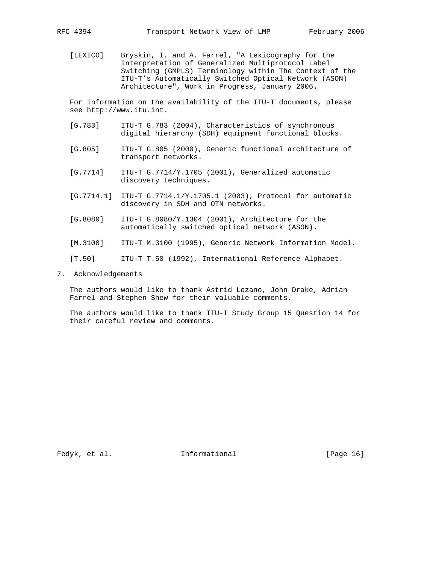[LEXICO] Bryskin, I. and A. Farrel, "A Lexicography for the Interpretation of Generalized Multiprotocol Label Switching (GMPLS) Terminology within The Context of the ITU-T's Automatically Switched Optical Network (ASON) Architecture", Work in Progress, January 2006.

 For information on the availability of the ITU-T documents, please see http://www.itu.int.

- [G.783] ITU-T G.783 (2004), Characteristics of synchronous digital hierarchy (SDH) equipment functional blocks.
- [G.805] ITU-T G.805 (2000), Generic functional architecture of transport networks.
- [G.7714] ITU-T G.7714/Y.1705 (2001), Generalized automatic discovery techniques.
- [G.7714.1] ITU-T G.7714.1/Y.1705.1 (2003), Protocol for automatic discovery in SDH and OTN networks.
- [G.8080] ITU-T G.8080/Y.1304 (2001), Architecture for the automatically switched optical network (ASON).
- [M.3100] ITU-T M.3100 (1995), Generic Network Information Model.
- [T.50] ITU-T T.50 (1992), International Reference Alphabet.
- 7. Acknowledgements

 The authors would like to thank Astrid Lozano, John Drake, Adrian Farrel and Stephen Shew for their valuable comments.

 The authors would like to thank ITU-T Study Group 15 Question 14 for their careful review and comments.

Fedyk, et al. 10. Informational 1. [Page 16]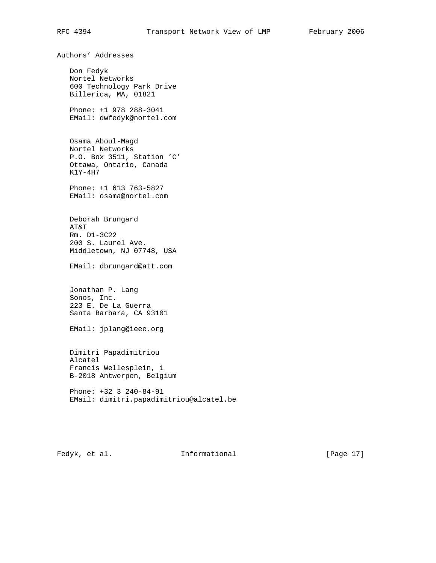Authors' Addresses

 Don Fedyk Nortel Networks 600 Technology Park Drive Billerica, MA, 01821

 Phone: +1 978 288-3041 EMail: dwfedyk@nortel.com

 Osama Aboul-Magd Nortel Networks P.O. Box 3511, Station 'C' Ottawa, Ontario, Canada K1Y-4H7

 Phone: +1 613 763-5827 EMail: osama@nortel.com

 Deborah Brungard AT&T Rm. D1-3C22 200 S. Laurel Ave. Middletown, NJ 07748, USA

EMail: dbrungard@att.com

 Jonathan P. Lang Sonos, Inc. 223 E. De La Guerra Santa Barbara, CA 93101

EMail: jplang@ieee.org

 Dimitri Papadimitriou Alcatel Francis Wellesplein, 1 B-2018 Antwerpen, Belgium

 Phone: +32 3 240-84-91 EMail: dimitri.papadimitriou@alcatel.be

Fedyk, et al. 10. Informational 1. [Page 17]